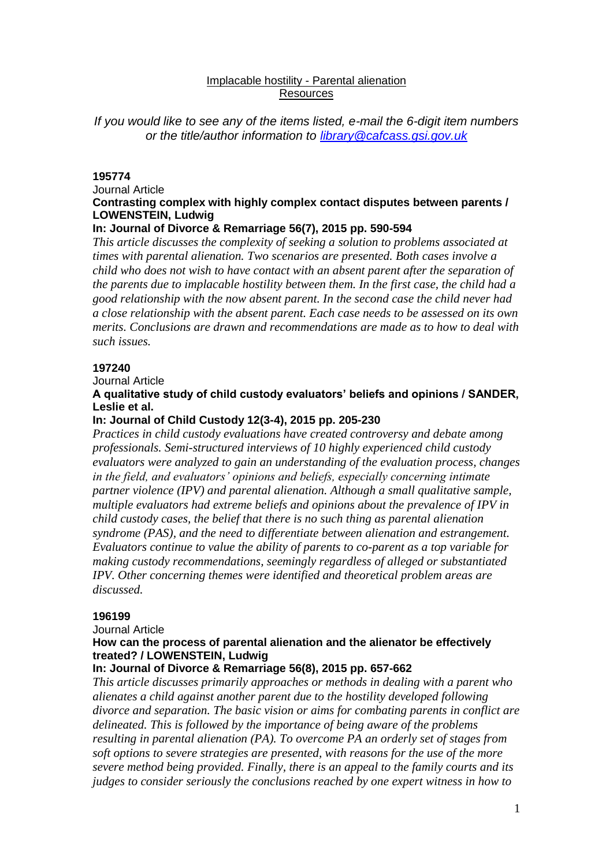# Implacable hostility - Parental alienation **Resources**

# *If you would like to see any of the items listed, e-mail the 6-digit item numbers or the title/author information to [library@cafcass.gsi.gov.uk](mailto:xxxxxxx@xxxxxxx.xxx.xxx.xx)*

# **195774**

### Journal Article **Contrasting complex with highly complex contact disputes between parents / LOWENSTEIN, Ludwig**

# **In: Journal of Divorce & Remarriage 56(7), 2015 pp. 590-594**

*This article discusses the complexity of seeking a solution to problems associated at times with parental alienation. Two scenarios are presented. Both cases involve a child who does not wish to have contact with an absent parent after the separation of the parents due to implacable hostility between them. In the first case, the child had a good relationship with the now absent parent. In the second case the child never had a close relationship with the absent parent. Each case needs to be assessed on its own merits. Conclusions are drawn and recommendations are made as to how to deal with such issues.*

# **197240**

# Journal Article

# **A qualitative study of child custody evaluators' beliefs and opinions / SANDER, Leslie et al.**

# **In: Journal of Child Custody 12(3-4), 2015 pp. 205-230**

*Practices in child custody evaluations have created controversy and debate among professionals. Semi-structured interviews of 10 highly experienced child custody evaluators were analyzed to gain an understanding of the evaluation process, changes in the field, and evaluators' opinions and beliefs, especially concerning intimate partner violence (IPV) and parental alienation. Although a small qualitative sample, multiple evaluators had extreme beliefs and opinions about the prevalence of IPV in child custody cases, the belief that there is no such thing as parental alienation syndrome (PAS), and the need to differentiate between alienation and estrangement. Evaluators continue to value the ability of parents to co-parent as a top variable for making custody recommendations, seemingly regardless of alleged or substantiated IPV. Other concerning themes were identified and theoretical problem areas are discussed.*

# **196199**

### Journal Article

# **How can the process of parental alienation and the alienator be effectively treated? / LOWENSTEIN, Ludwig**

# **In: Journal of Divorce & Remarriage 56(8), 2015 pp. 657-662**

*This article discusses primarily approaches or methods in dealing with a parent who alienates a child against another parent due to the hostility developed following divorce and separation. The basic vision or aims for combating parents in conflict are delineated. This is followed by the importance of being aware of the problems resulting in parental alienation (PA). To overcome PA an orderly set of stages from soft options to severe strategies are presented, with reasons for the use of the more severe method being provided. Finally, there is an appeal to the family courts and its judges to consider seriously the conclusions reached by one expert witness in how to*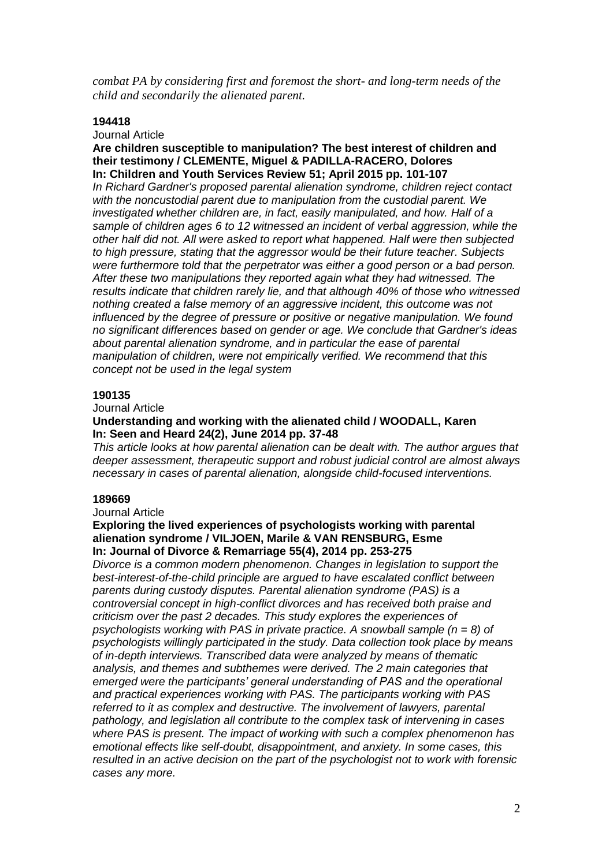*combat PA by considering first and foremost the short- and long-term needs of the child and secondarily the alienated parent.*

#### **194418**

#### Journal Article

#### **Are children susceptible to manipulation? The best interest of children and their testimony / CLEMENTE, Miguel & PADILLA-RACERO, Dolores In: Children and Youth Services Review 51; April 2015 pp. 101-107**

*In Richard Gardner's proposed parental alienation syndrome, children reject contact with the noncustodial parent due to manipulation from the custodial parent. We investigated whether children are, in fact, easily manipulated, and how. Half of a sample of children ages 6 to 12 witnessed an incident of verbal aggression, while the other half did not. All were asked to report what happened. Half were then subjected to high pressure, stating that the aggressor would be their future teacher. Subjects were furthermore told that the perpetrator was either a good person or a bad person. After these two manipulations they reported again what they had witnessed. The results indicate that children rarely lie, and that although 40% of those who witnessed nothing created a false memory of an aggressive incident, this outcome was not influenced by the degree of pressure or positive or negative manipulation. We found no significant differences based on gender or age. We conclude that Gardner's ideas about parental alienation syndrome, and in particular the ease of parental manipulation of children, were not empirically verified. We recommend that this concept not be used in the legal system*

#### **190135**

Journal Article

#### **Understanding and working with the alienated child / WOODALL, Karen In: Seen and Heard 24(2), June 2014 pp. 37-48**

*This article looks at how parental alienation can be dealt with. The author argues that deeper assessment, therapeutic support and robust judicial control are almost always necessary in cases of parental alienation, alongside child-focused interventions.*

#### **189669**

# Journal Article

#### **Exploring the lived experiences of psychologists working with parental alienation syndrome / VILJOEN, Marile & VAN RENSBURG, Esme In: Journal of Divorce & Remarriage 55(4), 2014 pp. 253-275**

*Divorce is a common modern phenomenon. Changes in legislation to support the best-interest-of-the-child principle are argued to have escalated conflict between parents during custody disputes. Parental alienation syndrome (PAS) is a controversial concept in high-conflict divorces and has received both praise and criticism over the past 2 decades. This study explores the experiences of psychologists working with PAS in private practice. A snowball sample (n = 8) of psychologists willingly participated in the study. Data collection took place by means of in-depth interviews. Transcribed data were analyzed by means of thematic analysis, and themes and subthemes were derived. The 2 main categories that emerged were the participants' general understanding of PAS and the operational and practical experiences working with PAS. The participants working with PAS referred to it as complex and destructive. The involvement of lawyers, parental pathology, and legislation all contribute to the complex task of intervening in cases where PAS is present. The impact of working with such a complex phenomenon has emotional effects like self-doubt, disappointment, and anxiety. In some cases, this resulted in an active decision on the part of the psychologist not to work with forensic cases any more.*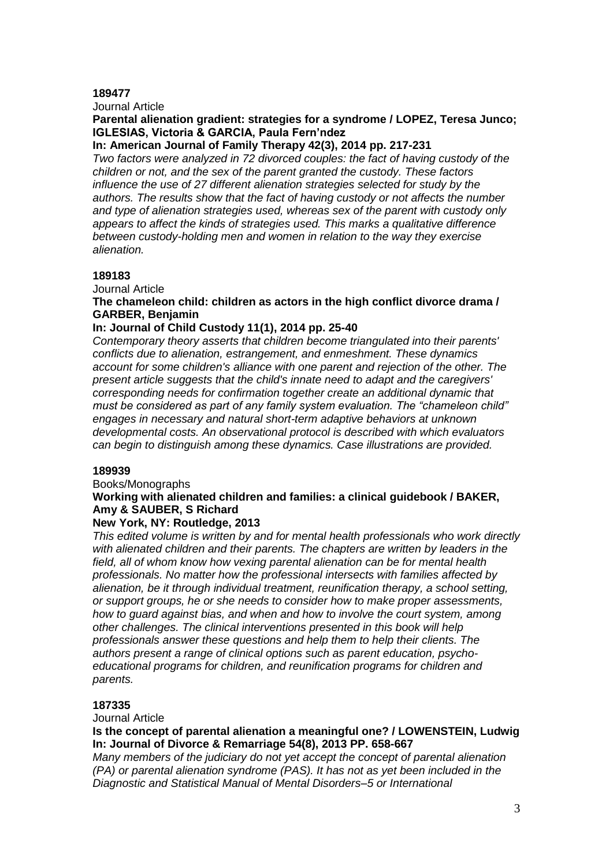Journal Article

# **Parental alienation gradient: strategies for a syndrome / LOPEZ, Teresa Junco; IGLESIAS, Victoria & GARCIA, Paula Fern'ndez**

## **In: American Journal of Family Therapy 42(3), 2014 pp. 217-231**

*Two factors were analyzed in 72 divorced couples: the fact of having custody of the children or not, and the sex of the parent granted the custody. These factors influence the use of 27 different alienation strategies selected for study by the authors. The results show that the fact of having custody or not affects the number and type of alienation strategies used, whereas sex of the parent with custody only appears to affect the kinds of strategies used. This marks a qualitative difference between custody-holding men and women in relation to the way they exercise alienation.*

# **189183**

Journal Article

## **The chameleon child: children as actors in the high conflict divorce drama / GARBER, Benjamin**

## **In: Journal of Child Custody 11(1), 2014 pp. 25-40**

*Contemporary theory asserts that children become triangulated into their parents' conflicts due to alienation, estrangement, and enmeshment. These dynamics account for some children's alliance with one parent and rejection of the other. The present article suggests that the child's innate need to adapt and the caregivers' corresponding needs for confirmation together create an additional dynamic that must be considered as part of any family system evaluation. The "chameleon child" engages in necessary and natural short-term adaptive behaviors at unknown developmental costs. An observational protocol is described with which evaluators can begin to distinguish among these dynamics. Case illustrations are provided.*

### **189939**

#### Books/Monographs **Working with alienated children and families: a clinical guidebook / BAKER, Amy & SAUBER, S Richard**

### **New York, NY: Routledge, 2013**

*This edited volume is written by and for mental health professionals who work directly with alienated children and their parents. The chapters are written by leaders in the field, all of whom know how vexing parental alienation can be for mental health professionals. No matter how the professional intersects with families affected by alienation, be it through individual treatment, reunification therapy, a school setting, or support groups, he or she needs to consider how to make proper assessments, how to guard against bias, and when and how to involve the court system, among other challenges. The clinical interventions presented in this book will help professionals answer these questions and help them to help their clients. The authors present a range of clinical options such as parent education, psychoeducational programs for children, and reunification programs for children and parents.*

### **187335**

### Journal Article

## **Is the concept of parental alienation a meaningful one? / LOWENSTEIN, Ludwig In: Journal of Divorce & Remarriage 54(8), 2013 PP. 658-667**

*Many members of the judiciary do not yet accept the concept of parental alienation (PA) or parental alienation syndrome (PAS). It has not as yet been included in the Diagnostic and Statistical Manual of Mental Disorders–5 or International*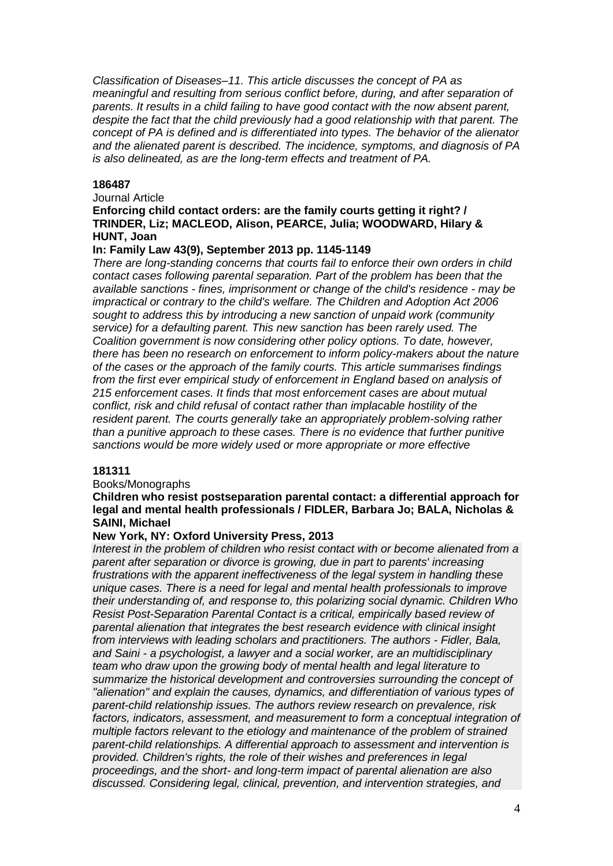*Classification of Diseases–11. This article discusses the concept of PA as meaningful and resulting from serious conflict before, during, and after separation of parents. It results in a child failing to have good contact with the now absent parent, despite the fact that the child previously had a good relationship with that parent. The concept of PA is defined and is differentiated into types. The behavior of the alienator and the alienated parent is described. The incidence, symptoms, and diagnosis of PA is also delineated, as are the long-term effects and treatment of PA.*

#### **186487**

Journal Article **Enforcing child contact orders: are the family courts getting it right? / TRINDER, Liz; MACLEOD, Alison, PEARCE, Julia; WOODWARD, Hilary & HUNT, Joan**

### **In: Family Law 43(9), September 2013 pp. 1145-1149**

*There are long-standing concerns that courts fail to enforce their own orders in child contact cases following parental separation. Part of the problem has been that the available sanctions - fines, imprisonment or change of the child's residence - may be impractical or contrary to the child's welfare. The Children and Adoption Act 2006 sought to address this by introducing a new sanction of unpaid work (community service) for a defaulting parent. This new sanction has been rarely used. The Coalition government is now considering other policy options. To date, however, there has been no research on enforcement to inform policy-makers about the nature of the cases or the approach of the family courts. This article summarises findings from the first ever empirical study of enforcement in England based on analysis of 215 enforcement cases. It finds that most enforcement cases are about mutual conflict, risk and child refusal of contact rather than implacable hostility of the resident parent. The courts generally take an appropriately problem-solving rather than a punitive approach to these cases. There is no evidence that further punitive sanctions would be more widely used or more appropriate or more effective*

#### **181311**

#### Books/Monographs

**Children who resist postseparation parental contact: a differential approach for legal and mental health professionals / FIDLER, Barbara Jo; BALA, Nicholas & SAINI, Michael**

# **New York, NY: Oxford University Press, 2013**

*Interest in the problem of children who resist contact with or become alienated from a parent after separation or divorce is growing, due in part to parents' increasing frustrations with the apparent ineffectiveness of the legal system in handling these unique cases. There is a need for legal and mental health professionals to improve their understanding of, and response to, this polarizing social dynamic. Children Who Resist Post-Separation Parental Contact is a critical, empirically based review of parental alienation that integrates the best research evidence with clinical insight from interviews with leading scholars and practitioners. The authors - Fidler, Bala, and Saini - a psychologist, a lawyer and a social worker, are an multidisciplinary team who draw upon the growing body of mental health and legal literature to summarize the historical development and controversies surrounding the concept of "alienation" and explain the causes, dynamics, and differentiation of various types of parent-child relationship issues. The authors review research on prevalence, risk*  factors, indicators, assessment, and measurement to form a conceptual integration of *multiple factors relevant to the etiology and maintenance of the problem of strained parent-child relationships. A differential approach to assessment and intervention is provided. Children's rights, the role of their wishes and preferences in legal proceedings, and the short- and long-term impact of parental alienation are also discussed. Considering legal, clinical, prevention, and intervention strategies, and*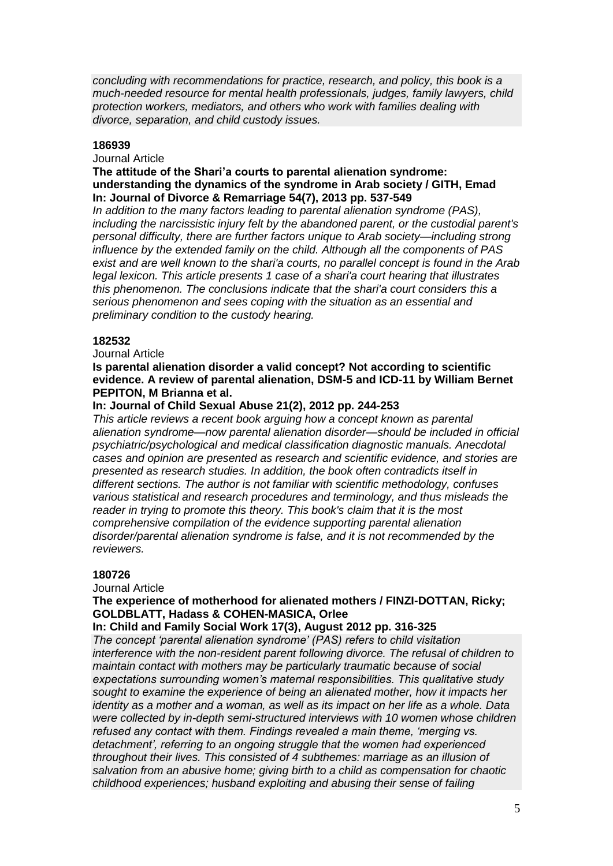*concluding with recommendations for practice, research, and policy, this book is a much-needed resource for mental health professionals, judges, family lawyers, child protection workers, mediators, and others who work with families dealing with divorce, separation, and child custody issues.*

#### **186939**

Journal Article

#### **The attitude of the Shari'a courts to parental alienation syndrome: understanding the dynamics of the syndrome in Arab society / GITH, Emad In: Journal of Divorce & Remarriage 54(7), 2013 pp. 537-549**

*In addition to the many factors leading to parental alienation syndrome (PAS), including the narcissistic injury felt by the abandoned parent, or the custodial parent's personal difficulty, there are further factors unique to Arab society—including strong influence by the extended family on the child. Although all the components of PAS exist and are well known to the shari'a courts, no parallel concept is found in the Arab legal lexicon. This article presents 1 case of a shari'a court hearing that illustrates this phenomenon. The conclusions indicate that the shari'a court considers this a serious phenomenon and sees coping with the situation as an essential and preliminary condition to the custody hearing.*

### **182532**

### Journal Article

**Is parental alienation disorder a valid concept? Not according to scientific evidence. A review of parental alienation, DSM-5 and ICD-11 by William Bernet PEPITON, M Brianna et al.**

### **In: Journal of Child Sexual Abuse 21(2), 2012 pp. 244-253**

*This article reviews a recent book arguing how a concept known as parental alienation syndrome—now parental alienation disorder—should be included in official psychiatric/psychological and medical classification diagnostic manuals. Anecdotal cases and opinion are presented as research and scientific evidence, and stories are presented as research studies. In addition, the book often contradicts itself in different sections. The author is not familiar with scientific methodology, confuses various statistical and research procedures and terminology, and thus misleads the reader in trying to promote this theory. This book's claim that it is the most comprehensive compilation of the evidence supporting parental alienation disorder/parental alienation syndrome is false, and it is not recommended by the reviewers.*

### **180726**

#### Journal Article

### **The experience of motherhood for alienated mothers / FINZI-DOTTAN, Ricky; GOLDBLATT, Hadass & COHEN-MASICA, Orlee**

### **In: Child and Family Social Work 17(3), August 2012 pp. 316-325**

*The concept 'parental alienation syndrome' (PAS) refers to child visitation interference with the non-resident parent following divorce. The refusal of children to maintain contact with mothers may be particularly traumatic because of social expectations surrounding women's maternal responsibilities. This qualitative study sought to examine the experience of being an alienated mother, how it impacts her identity as a mother and a woman, as well as its impact on her life as a whole. Data were collected by in-depth semi-structured interviews with 10 women whose children refused any contact with them. Findings revealed a main theme, 'merging vs. detachment', referring to an ongoing struggle that the women had experienced throughout their lives. This consisted of 4 subthemes: marriage as an illusion of salvation from an abusive home; giving birth to a child as compensation for chaotic childhood experiences; husband exploiting and abusing their sense of failing*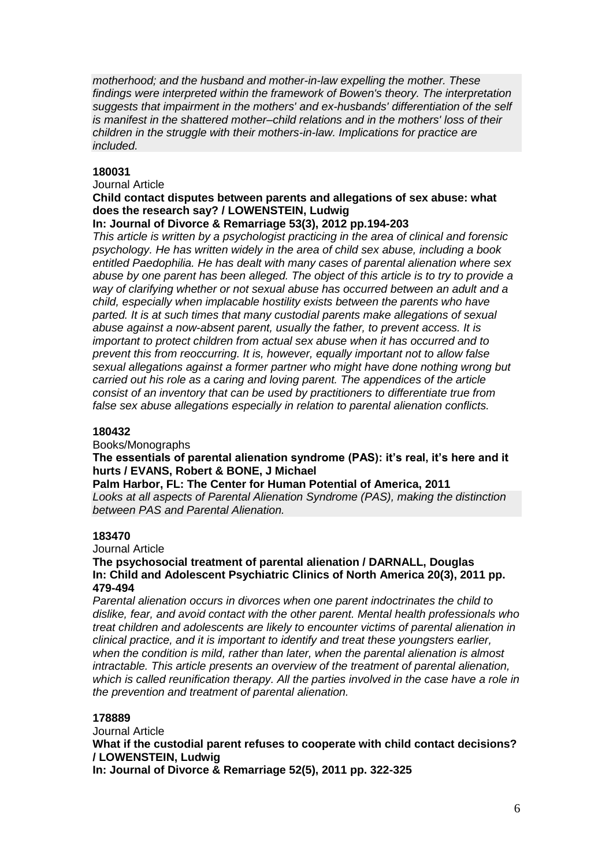*motherhood; and the husband and mother-in-law expelling the mother. These findings were interpreted within the framework of Bowen's theory. The interpretation suggests that impairment in the mothers' and ex-husbands' differentiation of the self is manifest in the shattered mother–child relations and in the mothers' loss of their children in the struggle with their mothers-in-law. Implications for practice are included.*

#### **180031**

Journal Article

# **Child contact disputes between parents and allegations of sex abuse: what does the research say? / LOWENSTEIN, Ludwig**

### **In: Journal of Divorce & Remarriage 53(3), 2012 pp.194-203**

*This article is written by a psychologist practicing in the area of clinical and forensic psychology. He has written widely in the area of child sex abuse, including a book entitled Paedophilia. He has dealt with many cases of parental alienation where sex abuse by one parent has been alleged. The object of this article is to try to provide a way of clarifying whether or not sexual abuse has occurred between an adult and a child, especially when implacable hostility exists between the parents who have parted. It is at such times that many custodial parents make allegations of sexual abuse against a now-absent parent, usually the father, to prevent access. It is important to protect children from actual sex abuse when it has occurred and to prevent this from reoccurring. It is, however, equally important not to allow false sexual allegations against a former partner who might have done nothing wrong but carried out his role as a caring and loving parent. The appendices of the article consist of an inventory that can be used by practitioners to differentiate true from false sex abuse allegations especially in relation to parental alienation conflicts.*

#### **180432**

Books/Monographs

**The essentials of parental alienation syndrome (PAS): it's real, it's here and it hurts / EVANS, Robert & BONE, J Michael**

#### **Palm Harbor, FL: The Center for Human Potential of America, 2011**

*Looks at all aspects of Parental Alienation Syndrome (PAS), making the distinction between PAS and Parental Alienation.*

## **183470**

Journal Article

### **The psychosocial treatment of parental alienation / DARNALL, Douglas In: Child and Adolescent Psychiatric Clinics of North America 20(3), 2011 pp. 479-494**

*Parental alienation occurs in divorces when one parent indoctrinates the child to dislike, fear, and avoid contact with the other parent. Mental health professionals who treat children and adolescents are likely to encounter victims of parental alienation in clinical practice, and it is important to identify and treat these youngsters earlier, when the condition is mild, rather than later, when the parental alienation is almost intractable. This article presents an overview of the treatment of parental alienation, which is called reunification therapy. All the parties involved in the case have a role in the prevention and treatment of parental alienation.*

# **178889**

Journal Article **What if the custodial parent refuses to cooperate with child contact decisions? / LOWENSTEIN, Ludwig**

**In: Journal of Divorce & Remarriage 52(5), 2011 pp. 322-325**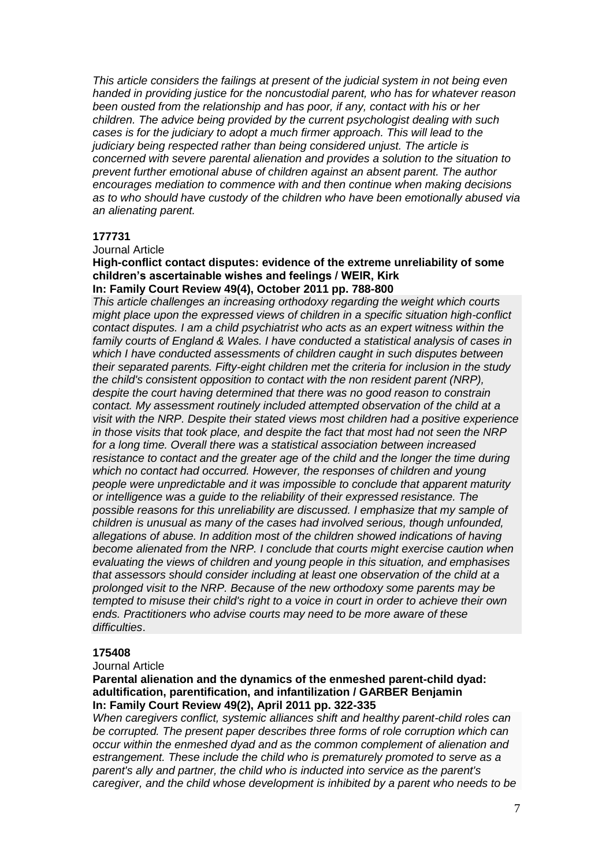*This article considers the failings at present of the judicial system in not being even handed in providing justice for the noncustodial parent, who has for whatever reason been ousted from the relationship and has poor, if any, contact with his or her children. The advice being provided by the current psychologist dealing with such cases is for the judiciary to adopt a much firmer approach. This will lead to the judiciary being respected rather than being considered unjust. The article is concerned with severe parental alienation and provides a solution to the situation to prevent further emotional abuse of children against an absent parent. The author encourages mediation to commence with and then continue when making decisions as to who should have custody of the children who have been emotionally abused via an alienating parent.*

### **177731**

Journal Article

#### **High-conflict contact disputes: evidence of the extreme unreliability of some children's ascertainable wishes and feelings / WEIR, Kirk In: Family Court Review 49(4), October 2011 pp. 788-800**

*This article challenges an increasing orthodoxy regarding the weight which courts might place upon the expressed views of children in a specific situation high-conflict contact disputes. I am a child psychiatrist who acts as an expert witness within the family courts of England & Wales. I have conducted a statistical analysis of cases in which I have conducted assessments of children caught in such disputes between their separated parents. Fifty-eight children met the criteria for inclusion in the study the child's consistent opposition to contact with the non resident parent (NRP), despite the court having determined that there was no good reason to constrain contact. My assessment routinely included attempted observation of the child at a visit with the NRP. Despite their stated views most children had a positive experience in those visits that took place, and despite the fact that most had not seen the NRP for a long time. Overall there was a statistical association between increased resistance to contact and the greater age of the child and the longer the time during which no contact had occurred. However, the responses of children and young people were unpredictable and it was impossible to conclude that apparent maturity or intelligence was a guide to the reliability of their expressed resistance. The possible reasons for this unreliability are discussed. I emphasize that my sample of children is unusual as many of the cases had involved serious, though unfounded, allegations of abuse. In addition most of the children showed indications of having become alienated from the NRP. I conclude that courts might exercise caution when evaluating the views of children and young people in this situation, and emphasises that assessors should consider including at least one observation of the child at a prolonged visit to the NRP. Because of the new orthodoxy some parents may be tempted to misuse their child's right to a voice in court in order to achieve their own ends. Practitioners who advise courts may need to be more aware of these difficulties*.

#### **175408**

Journal Article

#### **Parental alienation and the dynamics of the enmeshed parent-child dyad: adultification, parentification, and infantilization / GARBER Benjamin In: Family Court Review 49(2), April 2011 pp. 322-335**

*When caregivers conflict, systemic alliances shift and healthy parent-child roles can be corrupted. The present paper describes three forms of role corruption which can occur within the enmeshed dyad and as the common complement of alienation and estrangement. These include the child who is prematurely promoted to serve as a parent's ally and partner, the child who is inducted into service as the parent's caregiver, and the child whose development is inhibited by a parent who needs to be*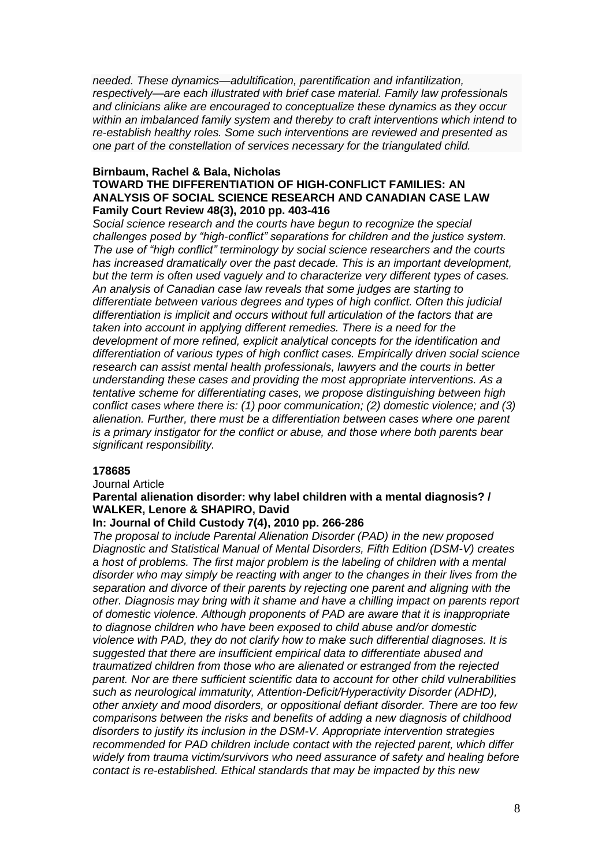*needed. These dynamics—adultification, parentification and infantilization, respectively—are each illustrated with brief case material. Family law professionals and clinicians alike are encouraged to conceptualize these dynamics as they occur within an imbalanced family system and thereby to craft interventions which intend to re-establish healthy roles. Some such interventions are reviewed and presented as one part of the constellation of services necessary for the triangulated child.*

#### **Birnbaum, Rachel & Bala, Nicholas TOWARD THE DIFFERENTIATION OF HIGH-CONFLICT FAMILIES: AN ANALYSIS OF SOCIAL SCIENCE RESEARCH AND CANADIAN CASE LAW Family Court Review 48(3), 2010 pp. 403-416**

*Social science research and the courts have begun to recognize the special challenges posed by "high-conflict" separations for children and the justice system. The use of "high conflict" terminology by social science researchers and the courts has increased dramatically over the past decade. This is an important development, but the term is often used vaguely and to characterize very different types of cases. An analysis of Canadian case law reveals that some judges are starting to differentiate between various degrees and types of high conflict. Often this judicial differentiation is implicit and occurs without full articulation of the factors that are taken into account in applying different remedies. There is a need for the development of more refined, explicit analytical concepts for the identification and differentiation of various types of high conflict cases. Empirically driven social science research can assist mental health professionals, lawyers and the courts in better understanding these cases and providing the most appropriate interventions. As a tentative scheme for differentiating cases, we propose distinguishing between high conflict cases where there is: (1) poor communication; (2) domestic violence; and (3) alienation. Further, there must be a differentiation between cases where one parent is a primary instigator for the conflict or abuse, and those where both parents bear significant responsibility.*

### **178685**

Journal Article

# **Parental alienation disorder: why label children with a mental diagnosis? / WALKER, Lenore & SHAPIRO, David**

### **In: Journal of Child Custody 7(4), 2010 pp. 266-286**

*The proposal to include Parental Alienation Disorder (PAD) in the new proposed Diagnostic and Statistical Manual of Mental Disorders, Fifth Edition (DSM-V) creates a host of problems. The first major problem is the labeling of children with a mental disorder who may simply be reacting with anger to the changes in their lives from the separation and divorce of their parents by rejecting one parent and aligning with the other. Diagnosis may bring with it shame and have a chilling impact on parents report of domestic violence. Although proponents of PAD are aware that it is inappropriate to diagnose children who have been exposed to child abuse and/or domestic violence with PAD, they do not clarify how to make such differential diagnoses. It is suggested that there are insufficient empirical data to differentiate abused and traumatized children from those who are alienated or estranged from the rejected parent. Nor are there sufficient scientific data to account for other child vulnerabilities such as neurological immaturity, Attention-Deficit/Hyperactivity Disorder (ADHD), other anxiety and mood disorders, or oppositional defiant disorder. There are too few comparisons between the risks and benefits of adding a new diagnosis of childhood disorders to justify its inclusion in the DSM-V. Appropriate intervention strategies recommended for PAD children include contact with the rejected parent, which differ widely from trauma victim/survivors who need assurance of safety and healing before contact is re-established. Ethical standards that may be impacted by this new*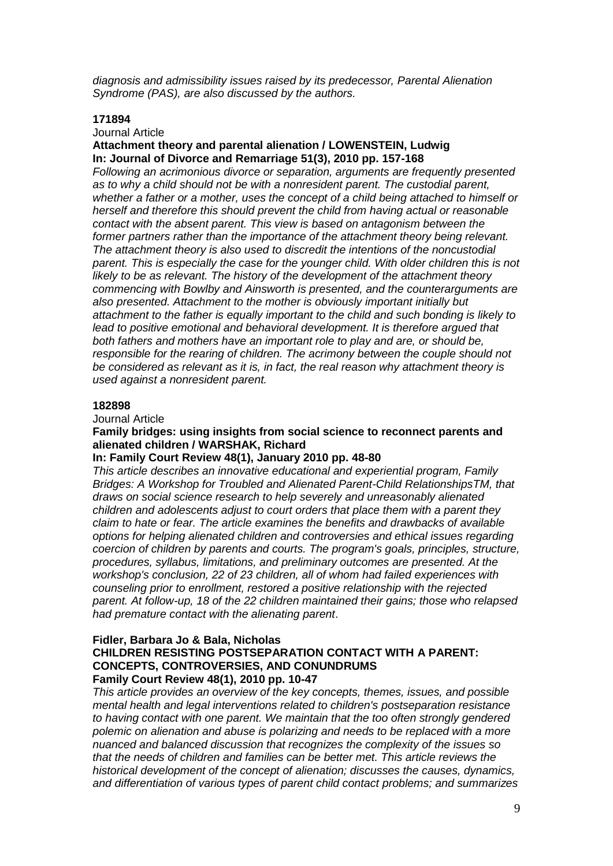*diagnosis and admissibility issues raised by its predecessor, Parental Alienation Syndrome (PAS), are also discussed by the authors.*

## **171894**

#### Journal Article

#### **Attachment theory and parental alienation / LOWENSTEIN, Ludwig In: Journal of Divorce and Remarriage 51(3), 2010 pp. 157-168**

*Following an acrimonious divorce or separation, arguments are frequently presented as to why a child should not be with a nonresident parent. The custodial parent, whether a father or a mother, uses the concept of a child being attached to himself or herself and therefore this should prevent the child from having actual or reasonable contact with the absent parent. This view is based on antagonism between the former partners rather than the importance of the attachment theory being relevant. The attachment theory is also used to discredit the intentions of the noncustodial parent. This is especially the case for the younger child. With older children this is not likely to be as relevant. The history of the development of the attachment theory commencing with Bowlby and Ainsworth is presented, and the counterarguments are also presented. Attachment to the mother is obviously important initially but attachment to the father is equally important to the child and such bonding is likely to lead to positive emotional and behavioral development. It is therefore argued that both fathers and mothers have an important role to play and are, or should be, responsible for the rearing of children. The acrimony between the couple should not be considered as relevant as it is, in fact, the real reason why attachment theory is used against a nonresident parent.*

#### **182898**

Journal Article

# **Family bridges: using insights from social science to reconnect parents and alienated children / WARSHAK, Richard**

#### **In: Family Court Review 48(1), January 2010 pp. 48-80**

*This article describes an innovative educational and experiential program, Family Bridges: A Workshop for Troubled and Alienated Parent-Child RelationshipsTM, that draws on social science research to help severely and unreasonably alienated children and adolescents adjust to court orders that place them with a parent they claim to hate or fear. The article examines the benefits and drawbacks of available options for helping alienated children and controversies and ethical issues regarding coercion of children by parents and courts. The program's goals, principles, structure, procedures, syllabus, limitations, and preliminary outcomes are presented. At the workshop's conclusion, 22 of 23 children, all of whom had failed experiences with counseling prior to enrollment, restored a positive relationship with the rejected parent. At follow-up, 18 of the 22 children maintained their gains; those who relapsed had premature contact with the alienating parent*.

### **Fidler, Barbara Jo & Bala, Nicholas CHILDREN RESISTING POSTSEPARATION CONTACT WITH A PARENT: CONCEPTS, CONTROVERSIES, AND CONUNDRUMS Family Court Review 48(1), 2010 pp. 10-47**

*This article provides an overview of the key concepts, themes, issues, and possible mental health and legal interventions related to children's postseparation resistance to having contact with one parent. We maintain that the too often strongly gendered polemic on alienation and abuse is polarizing and needs to be replaced with a more nuanced and balanced discussion that recognizes the complexity of the issues so that the needs of children and families can be better met. This article reviews the historical development of the concept of alienation; discusses the causes, dynamics, and differentiation of various types of parent child contact problems; and summarizes*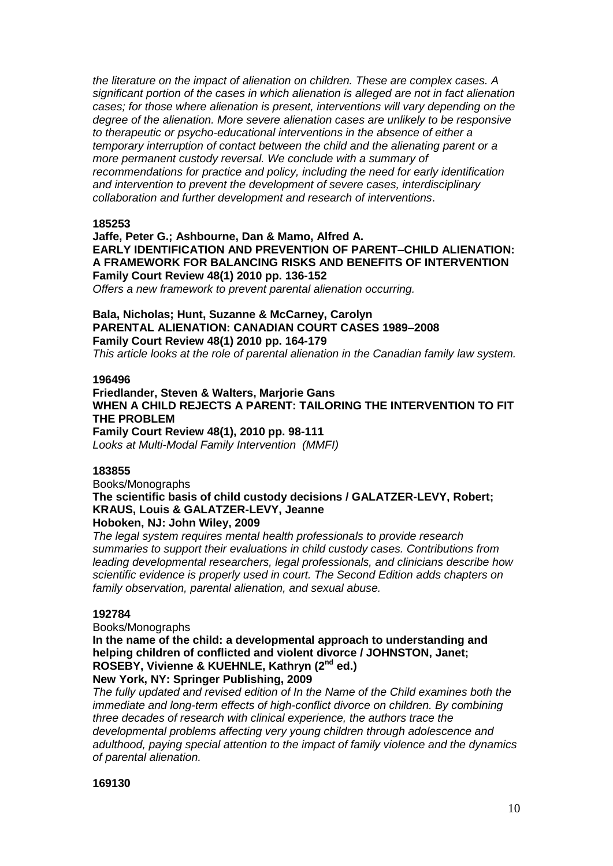*the literature on the impact of alienation on children. These are complex cases. A significant portion of the cases in which alienation is alleged are not in fact alienation cases; for those where alienation is present, interventions will vary depending on the degree of the alienation. More severe alienation cases are unlikely to be responsive to therapeutic or psycho-educational interventions in the absence of either a temporary interruption of contact between the child and the alienating parent or a more permanent custody reversal. We conclude with a summary of recommendations for practice and policy, including the need for early identification and intervention to prevent the development of severe cases, interdisciplinary collaboration and further development and research of interventions*.

### **185253**

# **Jaffe, Peter G.; Ashbourne, Dan & Mamo, Alfred A. EARLY IDENTIFICATION AND PREVENTION OF PARENT–CHILD ALIENATION: A FRAMEWORK FOR BALANCING RISKS AND BENEFITS OF INTERVENTION Family Court Review 48(1) 2010 pp. 136-152**

*Offers a new framework to prevent parental alienation occurring.*

### **Bala, Nicholas; Hunt, Suzanne & McCarney, Carolyn PARENTAL ALIENATION: CANADIAN COURT CASES 1989–2008 Family Court Review 48(1) 2010 pp. 164-179** *This article looks at the role of parental alienation in the Canadian family law system.*

**196496**

# **Friedlander, Steven & Walters, Marjorie Gans WHEN A CHILD REJECTS A PARENT: TAILORING THE INTERVENTION TO FIT THE PROBLEM Family Court Review 48(1), 2010 pp. 98-111**

*Looks at Multi-Modal Family Intervention (MMFI)*

### **183855**

# Books/Monographs **The scientific basis of child custody decisions / GALATZER-LEVY, Robert; KRAUS, Louis & GALATZER-LEVY, Jeanne Hoboken, NJ: John Wiley, 2009**

*The legal system requires mental health professionals to provide research summaries to support their evaluations in child custody cases. Contributions from leading developmental researchers, legal professionals, and clinicians describe how scientific evidence is properly used in court. The Second Edition adds chapters on family observation, parental alienation, and sexual abuse.* 

### **192784**

Books/Monographs **In the name of the child: a developmental approach to understanding and helping children of conflicted and violent divorce / JOHNSTON, Janet; ROSEBY, Vivienne & KUEHNLE, Kathryn (2nd ed.) New York, NY: Springer Publishing, 2009**

*The fully updated and revised edition of In the Name of the Child examines both the immediate and long-term effects of high-conflict divorce on children. By combining three decades of research with clinical experience, the authors trace the developmental problems affecting very young children through adolescence and adulthood, paying special attention to the impact of family violence and the dynamics of parental alienation.*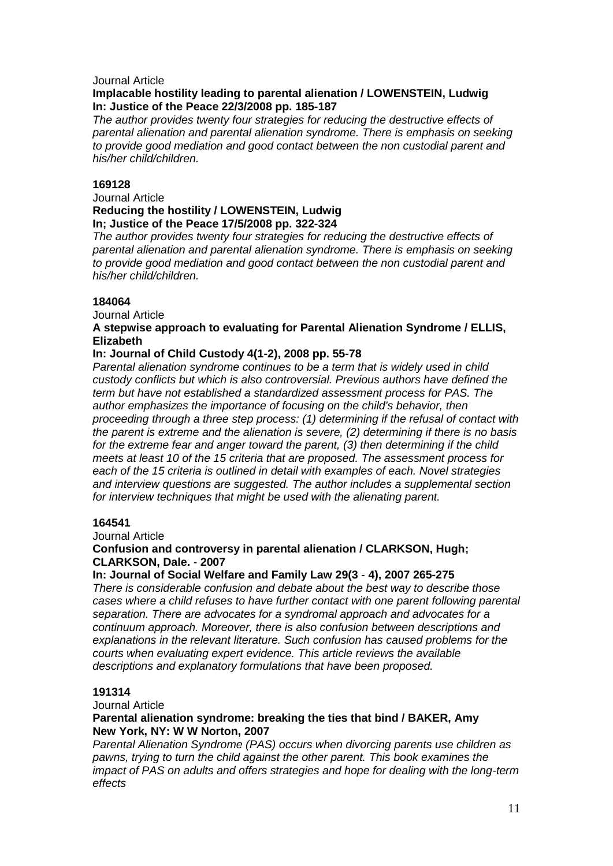#### Journal Article

# **Implacable hostility leading to parental alienation / LOWENSTEIN, Ludwig In: Justice of the Peace 22/3/2008 pp. 185-187**

*The author provides twenty four strategies for reducing the destructive effects of parental alienation and parental alienation syndrome. There is emphasis on seeking to provide good mediation and good contact between the non custodial parent and his/her child/children.*

#### **169128**

### Journal Article **Reducing the hostility / LOWENSTEIN, Ludwig In; Justice of the Peace 17/5/2008 pp. 322-324**

*The author provides twenty four strategies for reducing the destructive effects of parental alienation and parental alienation syndrome. There is emphasis on seeking to provide good mediation and good contact between the non custodial parent and his/her child/children.*

# **184064**

Journal Article

## **A stepwise approach to evaluating for Parental Alienation Syndrome / ELLIS, Elizabeth**

## **In: Journal of Child Custody 4(1-2), 2008 pp. 55-78**

*Parental alienation syndrome continues to be a term that is widely used in child custody conflicts but which is also controversial. Previous authors have defined the term but have not established a standardized assessment process for PAS. The author emphasizes the importance of focusing on the child's behavior, then proceeding through a three step process: (1) determining if the refusal of contact with the parent is extreme and the alienation is severe, (2) determining if there is no basis for the extreme fear and anger toward the parent, (3) then determining if the child meets at least 10 of the 15 criteria that are proposed. The assessment process for each of the 15 criteria is outlined in detail with examples of each. Novel strategies and interview questions are suggested. The author includes a supplemental section for interview techniques that might be used with the alienating parent.*

### **164541**

Journal Article

# **Confusion and controversy in parental alienation / CLARKSON, Hugh; CLARKSON, Dale.** - **2007**

### **In: Journal of Social Welfare and Family Law 29(3** - **4), 2007 265-275**

*There is considerable confusion and debate about the best way to describe those cases where a child refuses to have further contact with one parent following parental separation. There are advocates for a syndromal approach and advocates for a continuum approach. Moreover, there is also confusion between descriptions and explanations in the relevant literature. Such confusion has caused problems for the courts when evaluating expert evidence. This article reviews the available descriptions and explanatory formulations that have been proposed.* 

# **191314**

Journal Article

### **Parental alienation syndrome: breaking the ties that bind / BAKER, Amy New York, NY: W W Norton, 2007**

*Parental Alienation Syndrome (PAS) occurs when divorcing parents use children as pawns, trying to turn the child against the other parent. This book examines the impact of PAS on adults and offers strategies and hope for dealing with the long-term effects*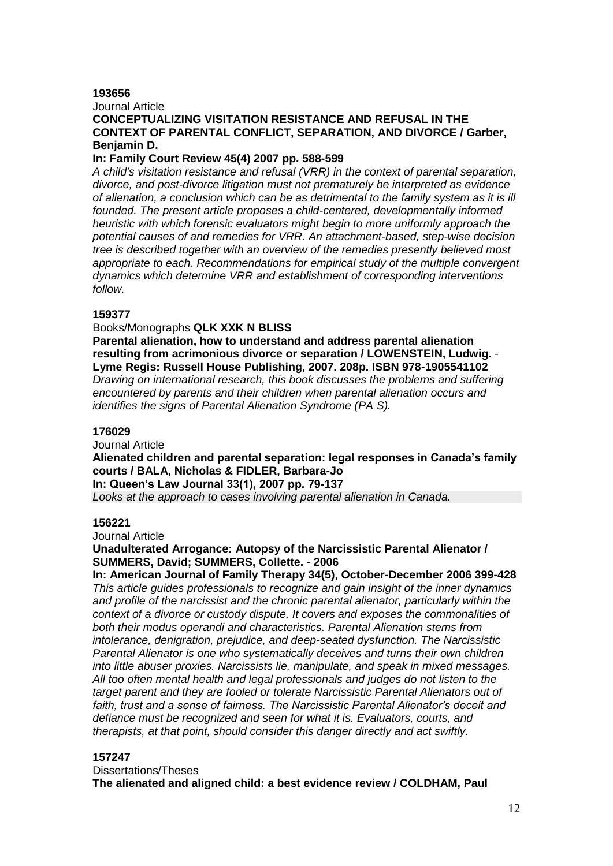Journal Article **CONCEPTUALIZING VISITATION RESISTANCE AND REFUSAL IN THE CONTEXT OF PARENTAL CONFLICT, SEPARATION, AND DIVORCE / Garber, Benjamin D.**

# **In: Family Court Review 45(4) 2007 pp. 588-599**

*A child's visitation resistance and refusal (VRR) in the context of parental separation, divorce, and post-divorce litigation must not prematurely be interpreted as evidence of alienation, a conclusion which can be as detrimental to the family system as it is ill founded. The present article proposes a child-centered, developmentally informed heuristic with which forensic evaluators might begin to more uniformly approach the potential causes of and remedies for VRR. An attachment-based, step-wise decision tree is described together with an overview of the remedies presently believed most appropriate to each. Recommendations for empirical study of the multiple convergent dynamics which determine VRR and establishment of corresponding interventions follow.*

### **159377**

### Books/Monographs **QLK XXK N BLISS**

**Parental alienation, how to understand and address parental alienation resulting from acrimonious divorce or separation / LOWENSTEIN, Ludwig.** - **Lyme Regis: Russell House Publishing, 2007. 208p. ISBN 978-1905541102**  *Drawing on international research, this book discusses the problems and suffering encountered by parents and their children when parental alienation occurs and identifies the signs of Parental Alienation Syndrome (PA S).* 

#### **176029**

Journal Article

**Alienated children and parental separation: legal responses in Canada's family courts / BALA, Nicholas & FIDLER, Barbara-Jo In: Queen's Law Journal 33(1), 2007 pp. 79-137**

*Looks at the approach to cases involving parental alienation in Canada.*

### **156221**

Journal Article

# **Unadulterated Arrogance: Autopsy of the Narcissistic Parental Alienator / SUMMERS, David; SUMMERS, Collette.** - **2006**

**In: American Journal of Family Therapy 34(5), October-December 2006 399-428**  *This article guides professionals to recognize and gain insight of the inner dynamics and profile of the narcissist and the chronic parental alienator, particularly within the context of a divorce or custody dispute. It covers and exposes the commonalities of both their modus operandi and characteristics. Parental Alienation stems from intolerance, denigration, prejudice, and deep-seated dysfunction. The Narcissistic Parental Alienator is one who systematically deceives and turns their own children into little abuser proxies. Narcissists lie, manipulate, and speak in mixed messages. All too often mental health and legal professionals and judges do not listen to the target parent and they are fooled or tolerate Narcissistic Parental Alienators out of faith, trust and a sense of fairness. The Narcissistic Parental Alienator's deceit and defiance must be recognized and seen for what it is. Evaluators, courts, and therapists, at that point, should consider this danger directly and act swiftly.* 

### **157247**

Dissertations/Theses **The alienated and aligned child: a best evidence review / COLDHAM, Paul**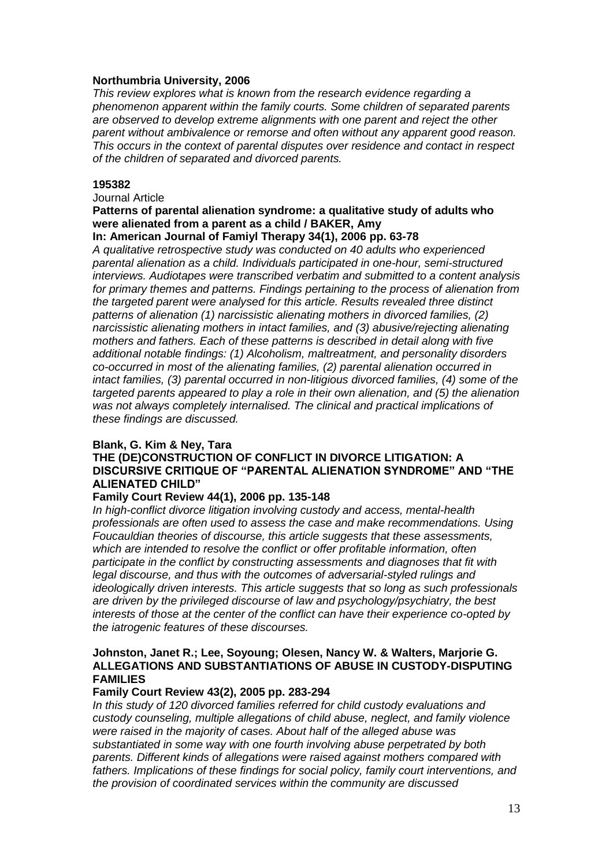### **Northumbria University, 2006**

*This review explores what is known from the research evidence regarding a phenomenon apparent within the family courts. Some children of separated parents are observed to develop extreme alignments with one parent and reject the other parent without ambivalence or remorse and often without any apparent good reason. This occurs in the context of parental disputes over residence and contact in respect of the children of separated and divorced parents.*

### **195382**

# Journal Article

# **Patterns of parental alienation syndrome: a qualitative study of adults who were alienated from a parent as a child / BAKER, Amy**

# **In: American Journal of Famiyl Therapy 34(1), 2006 pp. 63-78**

*A qualitative retrospective study was conducted on 40 adults who experienced parental alienation as a child. Individuals participated in one-hour, semi-structured interviews. Audiotapes were transcribed verbatim and submitted to a content analysis for primary themes and patterns. Findings pertaining to the process of alienation from the targeted parent were analysed for this article. Results revealed three distinct patterns of alienation (1) narcissistic alienating mothers in divorced families, (2) narcissistic alienating mothers in intact families, and (3) abusive/rejecting alienating mothers and fathers. Each of these patterns is described in detail along with five additional notable findings: (1) Alcoholism, maltreatment, and personality disorders co-occurred in most of the alienating families, (2) parental alienation occurred in intact families, (3) parental occurred in non-litigious divorced families, (4) some of the targeted parents appeared to play a role in their own alienation, and (5) the alienation was not always completely internalised. The clinical and practical implications of these findings are discussed.*

### **Blank, G. Kim & Ney, Tara**

# **THE (DE)CONSTRUCTION OF CONFLICT IN DIVORCE LITIGATION: A DISCURSIVE CRITIQUE OF "PARENTAL ALIENATION SYNDROME" AND "THE ALIENATED CHILD"**

# **Family Court Review 44(1), 2006 pp. 135-148**

*In high-conflict divorce litigation involving custody and access, mental-health professionals are often used to assess the case and make recommendations. Using Foucauldian theories of discourse, this article suggests that these assessments, which are intended to resolve the conflict or offer profitable information, often participate in the conflict by constructing assessments and diagnoses that fit with legal discourse, and thus with the outcomes of adversarial-styled rulings and ideologically driven interests. This article suggests that so long as such professionals are driven by the privileged discourse of law and psychology/psychiatry, the best interests of those at the center of the conflict can have their experience co-opted by the iatrogenic features of these discourses.*

# **Johnston, Janet R.; Lee, Soyoung; Olesen, Nancy W. & Walters, Marjorie G. ALLEGATIONS AND SUBSTANTIATIONS OF ABUSE IN CUSTODY-DISPUTING FAMILIES**

# **Family Court Review 43(2), 2005 pp. 283-294**

*In this study of 120 divorced families referred for child custody evaluations and custody counseling, multiple allegations of child abuse, neglect, and family violence were raised in the majority of cases. About half of the alleged abuse was substantiated in some way with one fourth involving abuse perpetrated by both parents. Different kinds of allegations were raised against mothers compared with*  fathers. Implications of these findings for social policy, family court interventions, and *the provision of coordinated services within the community are discussed*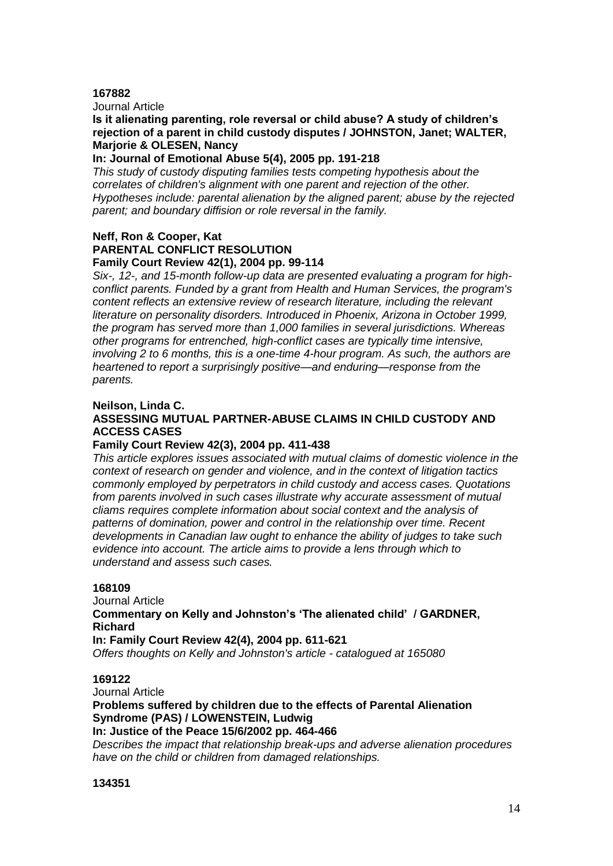Journal Article

**Is it alienating parenting, role reversal or child abuse? A study of children's rejection of a parent in child custody disputes / JOHNSTON, Janet; WALTER, Marjorie & OLESEN, Nancy**

# **In: Journal of Emotional Abuse 5(4), 2005 pp. 191-218**

*This study of custody disputing families tests competing hypothesis about the correlates of children's alignment with one parent and rejection of the other. Hypotheses include: parental alienation by the aligned parent; abuse by the rejected parent; and boundary diffision or role reversal in the family.*

### **Neff, Ron & Cooper, Kat PARENTAL CONFLICT RESOLUTION Family Court Review 42(1), 2004 pp. 99-114**

*Six-, 12-, and 15-month follow-up data are presented evaluating a program for highconflict parents. Funded by a grant from Health and Human Services, the program's content reflects an extensive review of research literature, including the relevant literature on personality disorders. Introduced in Phoenix, Arizona in October 1999, the program has served more than 1,000 families in several jurisdictions. Whereas other programs for entrenched, high-conflict cases are typically time intensive, involving 2 to 6 months, this is a one-time 4-hour program. As such, the authors are heartened to report a surprisingly positive—and enduring—response from the parents.*

# **Neilson, Linda C. ASSESSING MUTUAL PARTNER-ABUSE CLAIMS IN CHILD CUSTODY AND ACCESS CASES**

### **Family Court Review 42(3), 2004 pp. 411-438**

*This article explores issues associated with mutual claims of domestic violence in the context of research on gender and violence, and in the context of litigation tactics commonly employed by perpetrators in child custody and access cases. Quotations from parents involved in such cases illustrate why accurate assessment of mutual cliams requires complete information about social context and the analysis of patterns of domination, power and control in the relationship over time. Recent developments in Canadian law ought to enhance the ability of judges to take such evidence into account. The article aims to provide a lens through which to understand and assess such cases.*

### **168109**

Journal Article **Commentary on Kelly and Johnston's 'The alienated child' / GARDNER, Richard**

**In: Family Court Review 42(4), 2004 pp. 611-621**

*Offers thoughts on Kelly and Johnston's article - catalogued at 165080*

# **169122**

Journal Article

# **Problems suffered by children due to the effects of Parental Alienation Syndrome (PAS) / LOWENSTEIN, Ludwig**

**In: Justice of the Peace 15/6/2002 pp. 464-466**

*Describes the impact that relationship break-ups and adverse alienation procedures have on the child or children from damaged relationships.*

# **134351**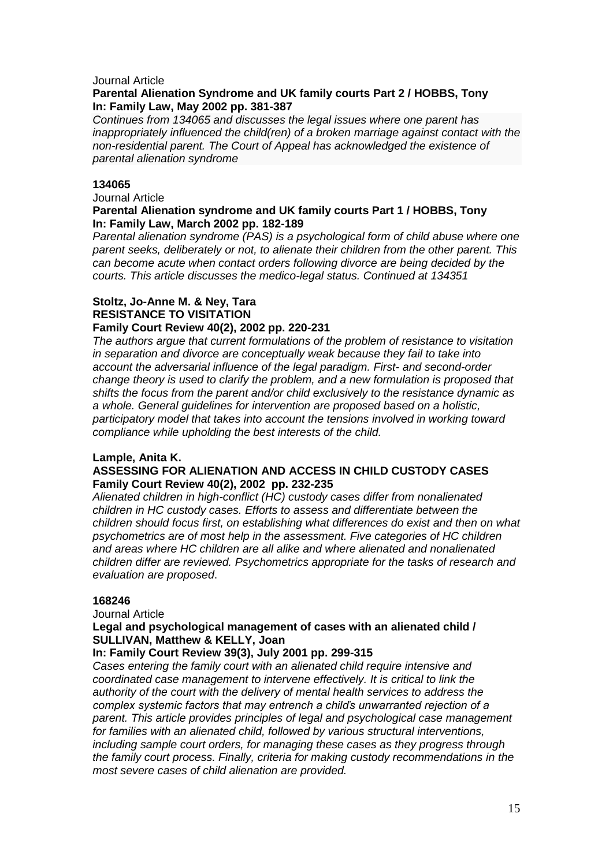### Journal Article

# **Parental Alienation Syndrome and UK family courts Part 2 / HOBBS, Tony In: Family Law, May 2002 pp. 381-387**

*Continues from 134065 and discusses the legal issues where one parent has inappropriately influenced the child(ren) of a broken marriage against contact with the non-residential parent. The Court of Appeal has acknowledged the existence of parental alienation syndrome*

### **134065**

Journal Article

# **Parental Alienation syndrome and UK family courts Part 1 / HOBBS, Tony In: Family Law, March 2002 pp. 182-189**

*Parental alienation syndrome (PAS) is a psychological form of child abuse where one parent seeks, deliberately or not, to alienate their children from the other parent. This can become acute when contact orders following divorce are being decided by the courts. This article discusses the medico-legal status. Continued at 134351*

### **Stoltz, Jo-Anne M. & Ney, Tara RESISTANCE TO VISITATION Family Court Review 40(2), 2002 pp. 220-231**

*The authors argue that current formulations of the problem of resistance to visitation in separation and divorce are conceptually weak because they fail to take into account the adversarial influence of the legal paradigm. First- and second-order change theory is used to clarify the problem, and a new formulation is proposed that shifts the focus from the parent and/or child exclusively to the resistance dynamic as a whole. General guidelines for intervention are proposed based on a holistic, participatory model that takes into account the tensions involved in working toward compliance while upholding the best interests of the child.*

# **Lample, Anita K.**

# **ASSESSING FOR ALIENATION AND ACCESS IN CHILD CUSTODY CASES Family Court Review 40(2), 2002 pp. 232-235**

*Alienated children in high-conflict (HC) custody cases differ from nonalienated children in HC custody cases. Efforts to assess and differentiate between the children should focus first, on establishing what differences do exist and then on what psychometrics are of most help in the assessment. Five categories of HC children and areas where HC children are all alike and where alienated and nonalienated children differ are reviewed. Psychometrics appropriate for the tasks of research and evaluation are proposed*.

# **168246**

Journal Article

# **Legal and psychological management of cases with an alienated child / SULLIVAN, Matthew & KELLY, Joan**

# **In: Family Court Review 39(3), July 2001 pp. 299-315**

*Cases entering the family court with an alienated child require intensive and coordinated case management to intervene effectively. It is critical to link the authority of the court with the delivery of mental health services to address the complex systemic factors that may entrench a chilďs unwarranted rejection of a parent. This article provides principles of legal and psychological case management for families with an alienated child, followed by various structural interventions, including sample court orders, for managing these cases as they progress through the family court process. Finally, criteria for making custody recommendations in the most severe cases of child alienation are provided.*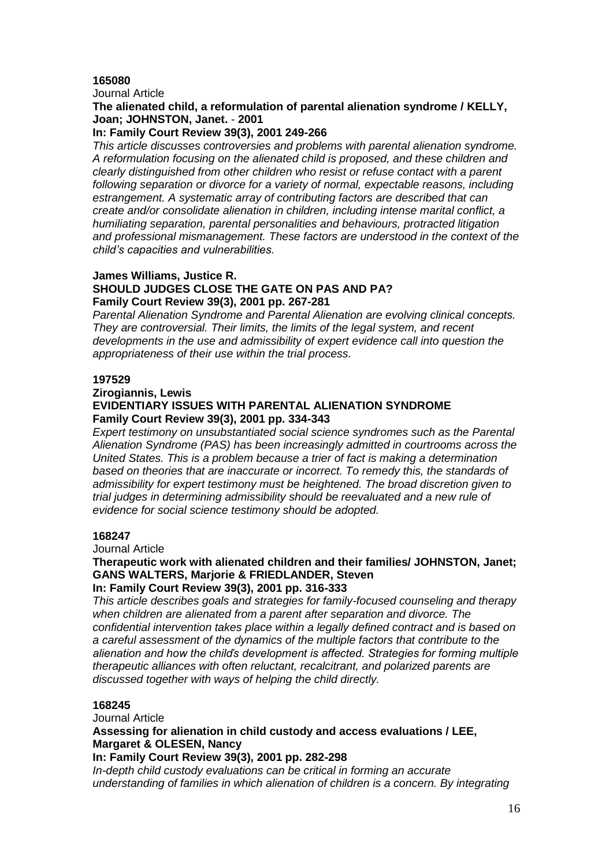#### Journal Article

# **The alienated child, a reformulation of parental alienation syndrome / KELLY, Joan; JOHNSTON, Janet.** - **2001**

## **In: Family Court Review 39(3), 2001 249-266**

*This article discusses controversies and problems with parental alienation syndrome. A reformulation focusing on the alienated child is proposed, and these children and clearly distinguished from other children who resist or refuse contact with a parent following separation or divorce for a variety of normal, expectable reasons, including*  estrangement. A systematic array of contributing factors are described that can *create and/or consolidate alienation in children, including intense marital conflict, a humiliating separation, parental personalities and behaviours, protracted litigation and professional mismanagement. These factors are understood in the context of the child's capacities and vulnerabilities.*

#### **James Williams, Justice R. SHOULD JUDGES CLOSE THE GATE ON PAS AND PA? Family Court Review 39(3), 2001 pp. 267-281**

*Parental Alienation Syndrome and Parental Alienation are evolving clinical concepts. They are controversial. Their limits, the limits of the legal system, and recent developments in the use and admissibility of expert evidence call into question the appropriateness of their use within the trial process.*

# **197529**

#### **Zirogiannis, Lewis EVIDENTIARY ISSUES WITH PARENTAL ALIENATION SYNDROME Family Court Review 39(3), 2001 pp. 334-343**

*Expert testimony on unsubstantiated social science syndromes such as the Parental Alienation Syndrome (PAS) has been increasingly admitted in courtrooms across the United States. This is a problem because a trier of fact is making a determination based on theories that are inaccurate or incorrect. To remedy this, the standards of admissibility for expert testimony must be heightened. The broad discretion given to trial judges in determining admissibility should be reevaluated and a new rule of evidence for social science testimony should be adopted.*

## **168247**

Journal Article

#### **Therapeutic work with alienated children and their families/ JOHNSTON, Janet; GANS WALTERS, Marjorie & FRIEDLANDER, Steven In: Family Court Review 39(3), 2001 pp. 316-333**

*This article describes goals and strategies for family-focused counseling and therapy when children are alienated from a parent after separation and divorce. The* 

*confidential intervention takes place within a legally defined contract and is based on a careful assessment of the dynamics of the multiple factors that contribute to the alienation and how the chilďs development is affected. Strategies for forming multiple therapeutic alliances with often reluctant, recalcitrant, and polarized parents are discussed together with ways of helping the child directly.*

# **168245**

Journal Article **Assessing for alienation in child custody and access evaluations / LEE, Margaret & OLESEN, Nancy**

**In: Family Court Review 39(3), 2001 pp. 282-298**

*In-depth child custody evaluations can be critical in forming an accurate understanding of families in which alienation of children is a concern. By integrating*